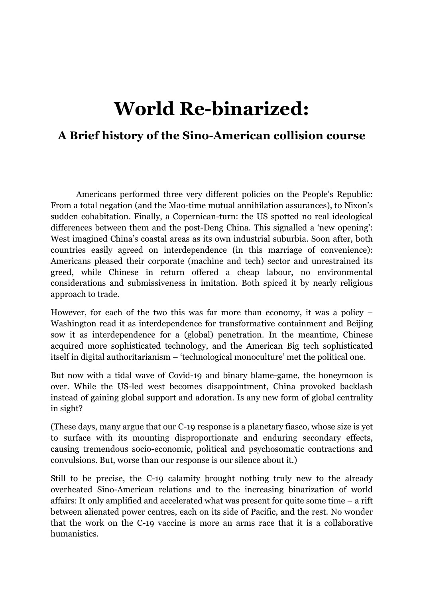# **World Re-binarized:**

# **A Brief history of the Sino-American collision course**

Americans performed three very different policies on the People's Republic: From a total negation (and the Mao-time mutual annihilation assurances), to Nixon's sudden cohabitation. Finally, a Copernican-turn: the US spotted no real ideological differences between them and the post-Deng China. This signalled a 'new opening': West imagined China's coastal areas as its own industrial suburbia. Soon after, both countries easily agreed on interdependence (in this marriage of convenience): Americans pleased their corporate (machine and tech) sector and unrestrained its greed, while Chinese in return offered a cheap labour, no environmental considerations and submissiveness in imitation. Both spiced it by nearly religious approach to trade.

However, for each of the two this was far more than economy, it was a policy – Washington read it as interdependence for transformative containment and Beijing sow it as interdependence for a (global) penetration. In the meantime, Chinese acquired more sophisticated technology, and the American Big tech sophisticated itself in digital authoritarianism – 'technological monoculture' met the political one.

But now with a tidal wave of Covid-19 and binary blame-game, the honeymoon is over. While the US-led west becomes disappointment, China provoked backlash instead of gaining global support and adoration. Is any new form of global centrality in sight?

(These days, many argue that our C-19 response is a planetary fiasco, whose size is yet to surface with its mounting disproportionate and enduring secondary effects, causing tremendous socio-economic, political and psychosomatic contractions and convulsions. But, worse than our response is our silence about it.)

Still to be precise, the C-19 calamity brought nothing truly new to the already overheated Sino-American relations and to the increasing binarization of world affairs: It only amplified and accelerated what was present for quite some time – a rift between alienated power centres, each on its side of Pacific, and the rest. No wonder that the work on the C-19 vaccine is more an arms race that it is a collaborative humanistics.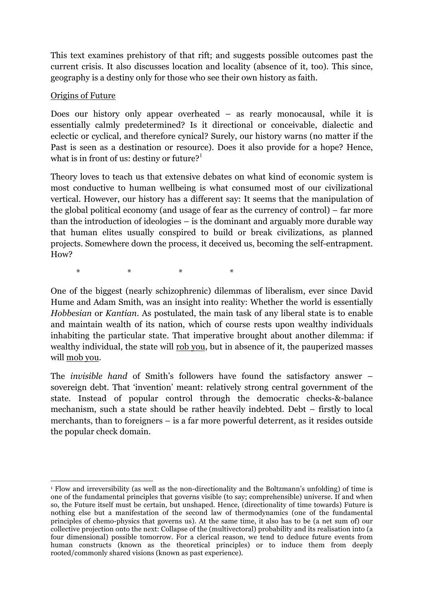This text examines prehistory of that rift; and suggests possible outcomes past the current crisis. It also discusses location and locality (absence of it, too). This since, geography is a destiny only for those who see their own history as faith.

# Origins of Future

Does our history only appear overheated – as rearly monocausal, while it is essentially calmly predetermined? Is it directional or conceivable, dialectic and eclectic or cyclical, and therefore cynical? Surely, our history warns (no matter if the Past is seen as a destination or resource). Does it also provide for a hope? Hence, what is in front of us: destiny or future? $1$ 

Theory loves to teach us that extensive debates on what kind of economic system is most conductive to human wellbeing is what consumed most of our civilizational vertical. However, our history has a different say: It seems that the manipulation of the global political economy (and usage of fear as the currency of control) – far more than the introduction of ideologies – is the dominant and arguably more durable way that human elites usually conspired to build or break civilizations, as planned projects. Somewhere down the process, it deceived us, becoming the self-entrapment. How?

 $\begin{array}{ccc} \star & \star & \star & \star \end{array}$ 

One of the biggest (nearly schizophrenic) dilemmas of liberalism, ever since David Hume and Adam Smith, was an insight into reality: Whether the world is essentially *Hobbesian* or *Kantian*. As postulated, the main task of any liberal state is to enable and maintain wealth of its nation, which of course rests upon wealthy individuals inhabiting the particular state. That imperative brought about another dilemma: if wealthy individual, the state will rob you, but in absence of it, the pauperized masses will mob you.

The *invisible hand* of Smith's followers have found the satisfactory answer – sovereign debt. That 'invention' meant: relatively strong central government of the state. Instead of popular control through the democratic checks-&-balance mechanism, such a state should be rather heavily indebted. Debt – firstly to local merchants, than to foreigners – is a far more powerful deterrent, as it resides outside the popular check domain.

 <sup>1</sup> Flow and irreversibility (as well as the non-directionality and the Boltzmann's unfolding) of time is one of the fundamental principles that governs visible (to say; comprehensible) universe. If and when so, the Future itself must be certain, but unshaped. Hence, (directionality of time towards) Future is nothing else but a manifestation of the second law of thermodynamics (one of the fundamental principles of chemo-physics that governs us). At the same time, it also has to be (a net sum of) our collective projection onto the next: Collapse of the (multivectoral) probability and its realisation into (a four dimensional) possible tomorrow. For a clerical reason, we tend to deduce future events from human constructs (known as the theoretical principles) or to induce them from deeply rooted/commonly shared visions (known as past experience).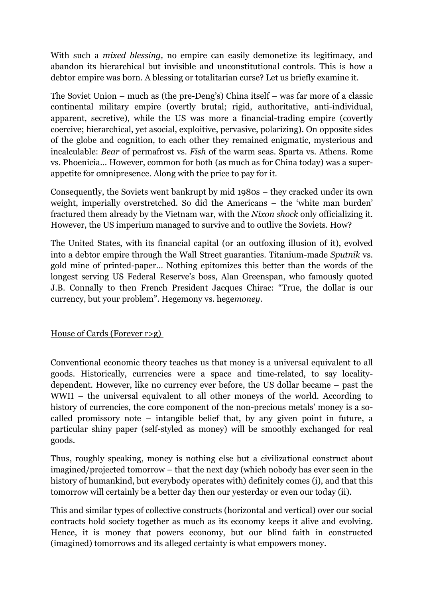With such a *mixed blessing,* no empire can easily demonetize its legitimacy, and abandon its hierarchical but invisible and unconstitutional controls. This is how a debtor empire was born. A blessing or totalitarian curse? Let us briefly examine it.

The Soviet Union – much as (the pre-Deng's) China itself – was far more of a classic continental military empire (overtly brutal; rigid, authoritative, anti-individual, apparent, secretive), while the US was more a financial-trading empire (covertly coercive; hierarchical, yet asocial, exploitive, pervasive, polarizing). On opposite sides of the globe and cognition, to each other they remained enigmatic, mysterious and incalculable: *Bear* of permafrost vs. *Fish* of the warm seas. Sparta vs. Athens. Rome vs. Phoenicia… However, common for both (as much as for China today) was a superappetite for omnipresence. Along with the price to pay for it.

Consequently, the Soviets went bankrupt by mid 1980s – they cracked under its own weight, imperially overstretched. So did the Americans – the 'white man burden' fractured them already by the Vietnam war, with the *Nixon shock* only officializing it. However, the US imperium managed to survive and to outlive the Soviets. How?

The United States, with its financial capital (or an outfoxing illusion of it), evolved into a debtor empire through the Wall Street guaranties. Titanium-made *Sputnik* vs. gold mine of printed-paper… Nothing epitomizes this better than the words of the longest serving US Federal Reserve's boss, Alan Greenspan, who famously quoted J.B. Connally to then French President Jacques Chirac: "True, the dollar is our currency, but your problem". Hegemony vs. hege*money*.

House of Cards (Forever r>g)

Conventional economic theory teaches us that money is a universal equivalent to all goods. Historically, currencies were a space and time-related, to say localitydependent. However, like no currency ever before, the US dollar became – past the WWII – the universal equivalent to all other moneys of the world. According to history of currencies, the core component of the non-precious metals' money is a socalled promissory note – intangible belief that, by any given point in future, a particular shiny paper (self-styled as money) will be smoothly exchanged for real goods.

Thus, roughly speaking, money is nothing else but a civilizational construct about imagined/projected tomorrow – that the next day (which nobody has ever seen in the history of humankind, but everybody operates with) definitely comes (i), and that this tomorrow will certainly be a better day then our yesterday or even our today (ii).

This and similar types of collective constructs (horizontal and vertical) over our social contracts hold society together as much as its economy keeps it alive and evolving. Hence, it is money that powers economy, but our blind faith in constructed (imagined) tomorrows and its alleged certainty is what empowers money.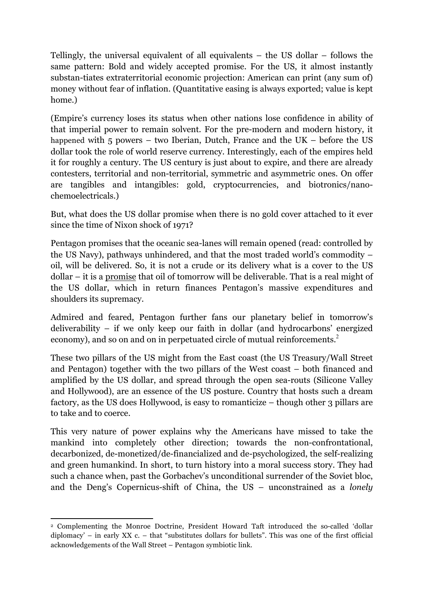Tellingly, the universal equivalent of all equivalents – the US dollar – follows the same pattern: Bold and widely accepted promise. For the US, it almost instantly substan-tiates extraterritorial economic projection: American can print (any sum of) money without fear of inflation. (Quantitative easing is always exported; value is kept home.)

(Empire's currency loses its status when other nations lose confidence in ability of that imperial power to remain solvent. For the pre-modern and modern history, it happened with  $5$  powers – two Iberian, Dutch, France and the UK – before the US dollar took the role of world reserve currency. Interestingly, each of the empires held it for roughly a century. The US century is just about to expire, and there are already contesters, territorial and non-territorial, symmetric and asymmetric ones. On offer are tangibles and intangibles: gold, cryptocurrencies, and biotronics/nanochemoelectricals.)

But, what does the US dollar promise when there is no gold cover attached to it ever since the time of Nixon shock of 1971?

Pentagon promises that the oceanic sea-lanes will remain opened (read: controlled by the US Navy), pathways unhindered, and that the most traded world's commodity – oil, will be delivered. So, it is not a crude or its delivery what is a cover to the US dollar – it is a promise that oil of tomorrow will be deliverable. That is a real might of the US dollar, which in return finances Pentagon's massive expenditures and shoulders its supremacy.

Admired and feared, Pentagon further fans our planetary belief in tomorrow's deliverability – if we only keep our faith in dollar (and hydrocarbons' energized economy), and so on and on in perpetuated circle of mutual reinforcements.<sup>2</sup>

These two pillars of the US might from the East coast (the US Treasury/Wall Street and Pentagon) together with the two pillars of the West coast – both financed and amplified by the US dollar, and spread through the open sea-routs (Silicone Valley and Hollywood), are an essence of the US posture. Country that hosts such a dream factory, as the US does Hollywood, is easy to romanticize – though other 3 pillars are to take and to coerce.

This very nature of power explains why the Americans have missed to take the mankind into completely other direction; towards the non-confrontational, decarbonized, de-monetized/de-financialized and de-psychologized, the self-realizing and green humankind. In short, to turn history into a moral success story. They had such a chance when, past the Gorbachev's unconditional surrender of the Soviet bloc, and the Deng's Copernicus-shift of China, the US – unconstrained as a *lonely* 

<sup>&</sup>lt;u> 1989 - Johann Stein, marwolaethau a bh</u> <sup>2</sup> Complementing the Monroe Doctrine, President Howard Taft introduced the so-called 'dollar diplomacy' – in early  $XX$  c. – that "substitutes dollars for bullets". This was one of the first official acknowledgements of the Wall Street – Pentagon symbiotic link.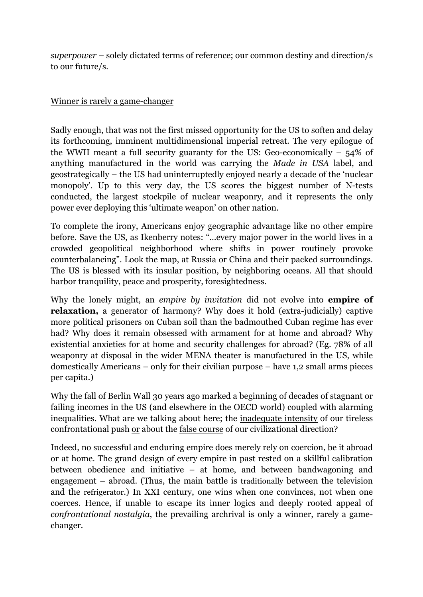*superpower* – solely dictated terms of reference; our common destiny and direction/s to our future/s.

# Winner is rarely a game-changer

Sadly enough, that was not the first missed opportunity for the US to soften and delay its forthcoming, imminent multidimensional imperial retreat. The very epilogue of the WWII meant a full security guaranty for the US: Geo-economically  $-54\%$  of anything manufactured in the world was carrying the *Made in USA* label, and geostrategically – the US had uninterruptedly enjoyed nearly a decade of the 'nuclear monopoly'. Up to this very day, the US scores the biggest number of N-tests conducted, the largest stockpile of nuclear weaponry, and it represents the only power ever deploying this 'ultimate weapon' on other nation.

To complete the irony, Americans enjoy geographic advantage like no other empire before. Save the US, as Ikenberry notes: "…every major power in the world lives in a crowded geopolitical neighborhood where shifts in power routinely provoke counterbalancing". Look the map, at Russia or China and their packed surroundings. The US is blessed with its insular position, by neighboring oceans. All that should harbor tranquility, peace and prosperity, foresightedness.

Why the lonely might, an *empire by invitation* did not evolve into **empire of relaxation,** a generator of harmony? Why does it hold (extra-judicially) captive more political prisoners on Cuban soil than the badmouthed Cuban regime has ever had? Why does it remain obsessed with armament for at home and abroad? Why existential anxieties for at home and security challenges for abroad? (Eg. 78% of all weaponry at disposal in the wider MENA theater is manufactured in the US, while domestically Americans – only for their civilian purpose – have 1,2 small arms pieces per capita.)

Why the fall of Berlin Wall 30 years ago marked a beginning of decades of stagnant or failing incomes in the US (and elsewhere in the OECD world) coupled with alarming inequalities. What are we talking about here; the inadequate intensity of our tireless confrontational push or about the false course of our civilizational direction?

Indeed, no successful and enduring empire does merely rely on coercion, be it abroad or at home. The grand design of every empire in past rested on a skillful calibration between obedience and initiative – at home, and between bandwagoning and engagement – abroad. (Thus, the main battle is traditionally between the television and the refrigerator.) In XXI century, one wins when one convinces, not when one coerces. Hence, if unable to escape its inner logics and deeply rooted appeal of *confrontational nostalgia*, the prevailing archrival is only a winner, rarely a gamechanger.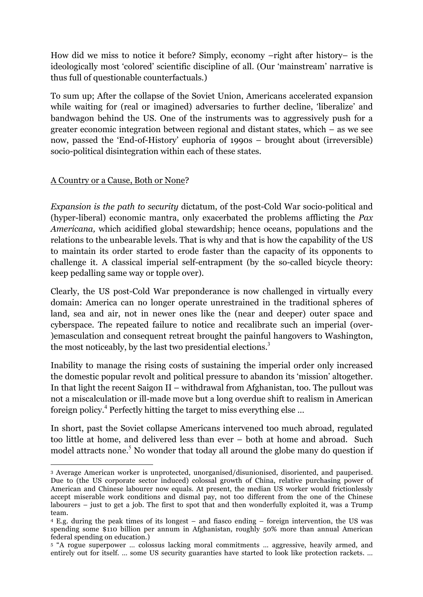How did we miss to notice it before? Simply, economy –right after history– is the ideologically most 'colored' scientific discipline of all. (Our 'mainstream' narrative is thus full of questionable counterfactuals.)

To sum up; After the collapse of the Soviet Union, Americans accelerated expansion while waiting for (real or imagined) adversaries to further decline, 'liberalize' and bandwagon behind the US. One of the instruments was to aggressively push for a greater economic integration between regional and distant states, which – as we see now, passed the 'End-of-History' euphoria of 1990s – brought about (irreversible) socio-political disintegration within each of these states.

#### A Country or a Cause, Both or None?

<u> 1989 - Johann Stein, marwolaethau a bh</u>

*Expansion is the path to security* dictatum, of the post-Cold War socio-political and (hyper-liberal) economic mantra, only exacerbated the problems afflicting the *Pax Americana,* which acidified global stewardship; hence oceans, populations and the relations to the unbearable levels. That is why and that is how the capability of the US to maintain its order started to erode faster than the capacity of its opponents to challenge it. A classical imperial self-entrapment (by the so-called bicycle theory: keep pedalling same way or topple over).

Clearly, the US post-Cold War preponderance is now challenged in virtually every domain: America can no longer operate unrestrained in the traditional spheres of land, sea and air, not in newer ones like the (near and deeper) outer space and cyberspace. The repeated failure to notice and recalibrate such an imperial (over- )emasculation and consequent retreat brought the painful hangovers to Washington, the most noticeably, by the last two presidential elections.<sup>3</sup>

Inability to manage the rising costs of sustaining the imperial order only increased the domestic popular revolt and political pressure to abandon its 'mission' altogether. In that light the recent Saigon II – withdrawal from Afghanistan, too. The pullout was not a miscalculation or ill-made move but a long overdue shift to realism in American foreign policy.<sup>4</sup> Perfectly hitting the target to miss everything else …

In short, past the Soviet collapse Americans intervened too much abroad, regulated too little at home, and delivered less than ever – both at home and abroad. Such model attracts none.<sup>5</sup> No wonder that today all around the globe many do question if

<sup>3</sup> Average American worker is unprotected, unorganised/disunionised, disoriented, and pauperised. Due to (the US corporate sector induced) colossal growth of China, relative purchasing power of American and Chinese labourer now equals. At present, the median US worker would frictionlessly accept miserable work conditions and dismal pay, not too different from the one of the Chinese labourers – just to get a job. The first to spot that and then wonderfully exploited it, was a Trump team.

<sup>4</sup> E.g. during the peak times of its longest – and fiasco ending – foreign intervention, the US was spending some \$110 billion per annum in Afghanistan, roughly 50% more than annual American federal spending on education.)

<sup>5</sup> "A rogue superpower … colossus lacking moral commitments … aggressive, heavily armed, and entirely out for itself. … some US security guaranties have started to look like protection rackets. …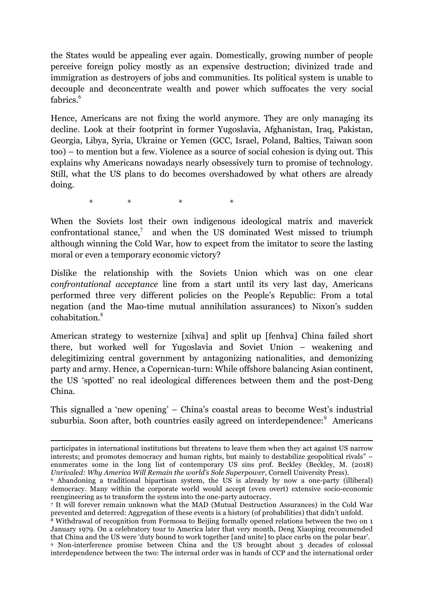the States would be appealing ever again. Domestically, growing number of people perceive foreign policy mostly as an expensive destruction; divinized trade and immigration as destroyers of jobs and communities. Its political system is unable to decouple and deconcentrate wealth and power which suffocates the very social fabrics $6$ 

Hence, Americans are not fixing the world anymore. They are only managing its decline. Look at their footprint in former Yugoslavia, Afghanistan, Iraq, Pakistan, Georgia, Libya, Syria, Ukraine or Yemen (GCC, Israel, Poland, Baltics, Taiwan soon too) – to mention but a few. Violence as a source of social cohesion is dying out. This explains why Americans nowadays nearly obsessively turn to promise of technology. Still, what the US plans to do becomes overshadowed by what others are already doing.

\* \* \* \*

When the Soviets lost their own indigenous ideological matrix and maverick confrontational stance, $\bar{z}$  and when the US dominated West missed to triumph although winning the Cold War, how to expect from the imitator to score the lasting moral or even a temporary economic victory?

Dislike the relationship with the Soviets Union which was on one clear *confrontational acceptance* line from a start until its very last day, Americans performed three very different policies on the People's Republic: From a total negation (and the Mao-time mutual annihilation assurances) to Nixon's sudden cohabitation.<sup>8</sup>

American strategy to westernize [xihva] and split up [fenhva] China failed short there, but worked well for Yugoslavia and Soviet Union – weakening and delegitimizing central government by antagonizing nationalities, and demonizing party and army. Hence, a Copernican-turn: While offshore balancing Asian continent, the US 'spotted' no real ideological differences between them and the post-Deng China.

This signalled a 'new opening' – China's coastal areas to become West's industrial suburbia. Soon after, both countries easily agreed on interdependence:<sup>9</sup> Americans

<u> 1989 - Andrea Santa Andrea Andrea Andrea Andrea Andrea Andrea Andrea Andrea Andrea Andrea Andrea Andrea Andr</u>

participates in international institutions but threatens to leave them when they act against US narrow interests; and promotes democracy and human rights, but mainly to destabilize geopolitical rivals" – enumerates some in the long list of contemporary US sins prof. Beckley (Beckley, M. (2018) *Unrivaled: Why America Will Remain the world's Sole Superpower*, Cornell University Press).

<sup>6</sup> Abandoning a traditional bipartisan system, the US is already by now a one-party (illiberal) democracy. Many within the corporate world would accept (even overt) extensive socio-economic reengineering as to transform the system into the one-party autocracy.

<sup>&</sup>lt;sup>7</sup> It will forever remain unknown what the MAD (Mutual Destruction Assurances) in the Cold War prevented and deterred: Aggregation of these events is a history (of probabilities) that didn't unfold. 8 Withdrawal of recognition from Formosa to Beijing formally opened relations between the two on 1

January 1979. On a celebratory tour to America later that very month, Deng Xiaoping recommended that China and the US were 'duty bound to work together [and unite] to place curbs on the polar bear'. 9 Non-interference promise between China and the US brought about 3 decades of colossal

interdependence between the two: The internal order was in hands of CCP and the international order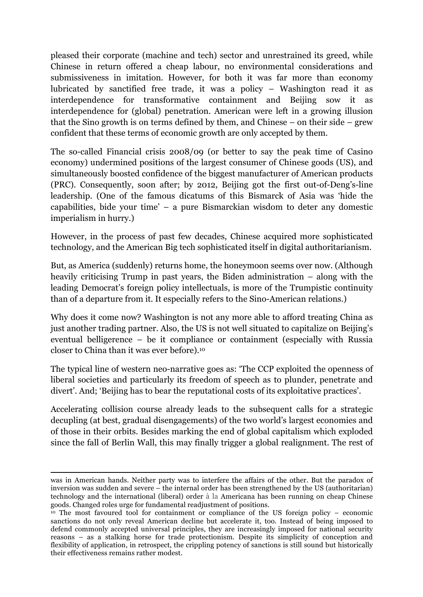pleased their corporate (machine and tech) sector and unrestrained its greed, while Chinese in return offered a cheap labour, no environmental considerations and submissiveness in imitation. However, for both it was far more than economy lubricated by sanctified free trade, it was a policy – Washington read it as interdependence for transformative containment and Beijing sow it as interdependence for (global) penetration. American were left in a growing illusion that the Sino growth is on terms defined by them, and Chinese – on their side – grew confident that these terms of economic growth are only accepted by them.

The so-called Financial crisis 2008/09 (or better to say the peak time of Casino economy) undermined positions of the largest consumer of Chinese goods (US), and simultaneously boosted confidence of the biggest manufacturer of American products (PRC). Consequently, soon after; by 2012, Beijing got the first out-of-Deng's-line leadership. (One of the famous dicatums of this Bismarck of Asia was 'hide the capabilities, bide your time' – a pure Bismarckian wisdom to deter any domestic imperialism in hurry.)

However, in the process of past few decades, Chinese acquired more sophisticated technology, and the American Big tech sophisticated itself in digital authoritarianism.

But, as America (suddenly) returns home, the honeymoon seems over now. (Although heavily criticising Trump in past years, the Biden administration – along with the leading Democrat's foreign policy intellectuals, is more of the Trumpistic continuity than of a departure from it. It especially refers to the Sino-American relations.)

Why does it come now? Washington is not any more able to afford treating China as just another trading partner. Also, the US is not well situated to capitalize on Beijing's eventual belligerence – be it compliance or containment (especially with Russia closer to China than it was ever before).10

The typical line of western neo-narrative goes as: 'The CCP exploited the openness of liberal societies and particularly its freedom of speech as to plunder, penetrate and divert'. And; 'Beijing has to bear the reputational costs of its exploitative practices'.

Accelerating collision course already leads to the subsequent calls for a strategic decupling (at best, gradual disengagements) of the two world's largest economies and of those in their orbits. Besides marking the end of global capitalism which exploded since the fall of Berlin Wall, this may finally trigger a global realignment. The rest of

<u> 1989 - Johann Stoff, amerikansk politiker (d. 1989)</u>

was in American hands. Neither party was to interfere the affairs of the other. But the paradox of inversion was sudden and severe – the internal order has been strengthened by the US (authoritarian) technology and the international (liberal) order à la Americana has been running on cheap Chinese

 $\mu$ <sup>10</sup> The most favoured tool for containment or compliance of the US foreign policy – economic sanctions do not only reveal American decline but accelerate it, too. Instead of being imposed to defend commonly accepted universal principles, they are increasingly imposed for national security reasons – as a stalking horse for trade protectionism. Despite its simplicity of conception and flexibility of application, in retrospect, the crippling potency of sanctions is still sound but historically their effectiveness remains rather modest.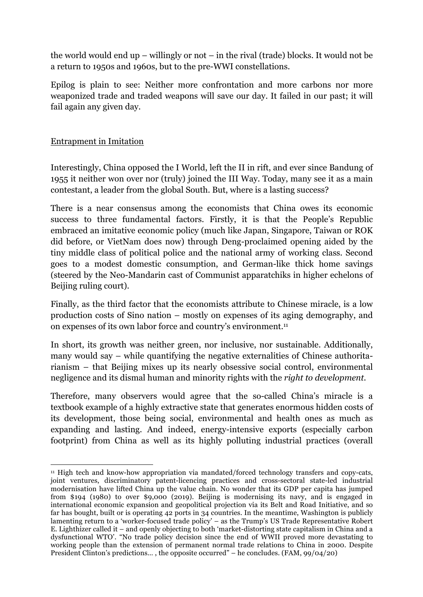the world would end up – willingly or not – in the rival (trade) blocks. It would not be a return to 1950s and 1960s, but to the pre-WWI constellations.

Epilog is plain to see: Neither more confrontation and more carbons nor more weaponized trade and traded weapons will save our day. It failed in our past; it will fail again any given day.

# Entrapment in Imitation

<u> 1989 - Johann Stein, marwolaethau a bh</u>

Interestingly, China opposed the I World, left the II in rift, and ever since Bandung of 1955 it neither won over nor (truly) joined the III Way. Today, many see it as a main contestant, a leader from the global South. But, where is a lasting success?

There is a near consensus among the economists that China owes its economic success to three fundamental factors. Firstly, it is that the People's Republic embraced an imitative economic policy (much like Japan, Singapore, Taiwan or ROK did before, or VietNam does now) through Deng-proclaimed opening aided by the tiny middle class of political police and the national army of working class. Second goes to a modest domestic consumption, and German-like thick home savings (steered by the Neo-Mandarin cast of Communist apparatchiks in higher echelons of Beijing ruling court).

Finally, as the third factor that the economists attribute to Chinese miracle, is a low production costs of Sino nation – mostly on expenses of its aging demography, and on expenses of its own labor force and country's environment.11

In short, its growth was neither green, nor inclusive, nor sustainable. Additionally, many would say – while quantifying the negative externalities of Chinese authoritarianism – that Beijing mixes up its nearly obsessive social control, environmental negligence and its dismal human and minority rights with the *right to development.*

Therefore, many observers would agree that the so-called China's miracle is a textbook example of a highly extractive state that generates enormous hidden costs of its development, those being social, environmental and health ones as much as expanding and lasting. And indeed, energy-intensive exports (especially carbon footprint) from China as well as its highly polluting industrial practices (overall

<sup>&</sup>lt;sup>11</sup> High tech and know-how appropriation via mandated/forced technology transfers and copy-cats, joint ventures, discriminatory patent-licencing practices and cross-sectoral state-led industrial modernisation have lifted China up the value chain. No wonder that its GDP per capita has jumped from \$194 (1980) to over \$9,000 (2019). Beijing is modernising its navy, and is engaged in international economic expansion and geopolitical projection via its Belt and Road Initiative, and so far has bought, built or is operating 42 ports in 34 countries. In the meantime, Washington is publicly lamenting return to a 'worker-focused trade policy' – as the Trump's US Trade Representative Robert E. Lighthizer called it – and openly objecting to both 'market-distorting state capitalism in China and a dysfunctional WTO'. "No trade policy decision since the end of WWII proved more devastating to working people than the extension of permanent normal trade relations to China in 2000. Despite President Clinton's predictions… , the opposite occurred" – he concludes. (FAM, 99/04/20)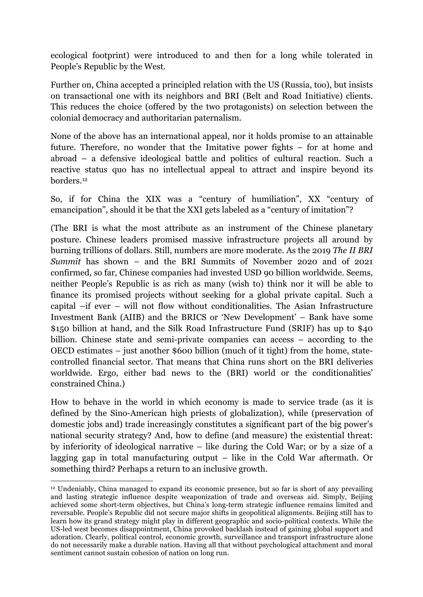ecological footprint) were introduced to and then for a long while tolerated in People's Republic by the West.

Further on, China accepted a principled relation with the US (Russia, too), but insists on transactional one with its neighbors and BRI (Belt and Road Initiative) clients. This reduces the choice (offered by the two protagonists) on selection between the colonial democracy and authoritarian paternalism.

None of the above has an international appeal, nor it holds promise to an attainable future. Therefore, no wonder that the Imitative power fights – for at home and abroad – a defensive ideological battle and politics of cultural reaction. Such a reactive status quo has no intellectual appeal to attract and inspire beyond its borders.12

So, if for China the XIX was a "century of humiliation", XX "century of emancipation", should it be that the XXI gets labeled as a "century of imitation"?

(The BRI is what the most attribute as an instrument of the Chinese planetary posture. Chinese leaders promised massive infrastructure projects all around by burning trillions of dollars. Still, numbers are more moderate. As the 2019 *The II BRI Summit* has shown – and the BRI Summits of November 2020 and of 2021 confirmed, so far, Chinese companies had invested USD 90 billion worldwide. Seems, neither People's Republic is as rich as many (wish to) think nor it will be able to finance its promised projects without seeking for a global private capital. Such a capital –if ever – will not flow without conditionalities. The Asian Infrastructure Investment Bank (AIIB) and the BRICS or 'New Development' – Bank have some \$150 billion at hand, and the Silk Road Infrastructure Fund (SRIF) has up to \$40 billion. Chinese state and semi-private companies can access – according to the OECD estimates – just another \$600 billion (much of it tight) from the home, statecontrolled financial sector. That means that China runs short on the BRI deliveries worldwide. Ergo, either bad news to the (BRI) world or the conditionalities' constrained China.)

How to behave in the world in which economy is made to service trade (as it is defined by the Sino-American high priests of globalization), while (preservation of domestic jobs and) trade increasingly constitutes a significant part of the big power's national security strategy? And, how to define (and measure) the existential threat: by inferiority of ideological narrative – like during the Cold War; or by a size of a lagging gap in total manufacturing output – like in the Cold War aftermath. Or something third? Perhaps a return to an inclusive growth.

 

<sup>12</sup> Undeniably, China managed to expand its economic presence, but so far is short of any prevailing and lasting strategic influence despite weaponization of trade and overseas aid. Simply, Beijing achieved some short-term objectives, but China's long-term strategic influence remains limited and reversable. People's Republic did not secure major shifts in geopolitical alignments. Beijing still has to learn how its grand strategy might play in different geographic and socio-political contexts. While the US-led west becomes disappointment, China provoked backlash instead of gaining global support and adoration. Clearly, political control, economic growth, surveillance and transport infrastructure alone do not necessarily make a durable nation. Having all that without psychological attachment and moral sentiment cannot sustain cohesion of nation on long run.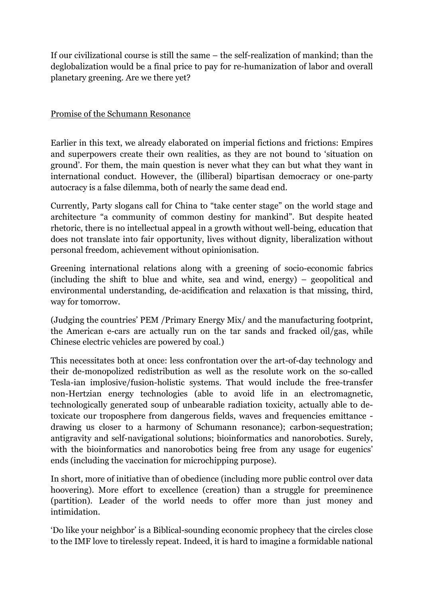If our civilizational course is still the same – the self-realization of mankind; than the deglobalization would be a final price to pay for re-humanization of labor and overall planetary greening. Are we there yet?

#### Promise of the Schumann Resonance

Earlier in this text, we already elaborated on imperial fictions and frictions: Empires and superpowers create their own realities, as they are not bound to 'situation on ground'. For them, the main question is never what they can but what they want in international conduct. However, the (illiberal) bipartisan democracy or one-party autocracy is a false dilemma, both of nearly the same dead end.

Currently, Party slogans call for China to "take center stage" on the world stage and architecture "a community of common destiny for mankind". But despite heated rhetoric, there is no intellectual appeal in a growth without well-being, education that does not translate into fair opportunity, lives without dignity, liberalization without personal freedom, achievement without opinionisation.

Greening international relations along with a greening of socio-economic fabrics (including the shift to blue and white, sea and wind, energy) – geopolitical and environmental understanding, de-acidification and relaxation is that missing, third, way for tomorrow.

(Judging the countries' PEM /Primary Energy Mix/ and the manufacturing footprint, the American e-cars are actually run on the tar sands and fracked oil/gas, while Chinese electric vehicles are powered by coal.)

This necessitates both at once: less confrontation over the art-of-day technology and their de-monopolized redistribution as well as the resolute work on the so-called Tesla-ian implosive/fusion-holistic systems. That would include the free-transfer non-Hertzian energy technologies (able to avoid life in an electromagnetic, technologically generated soup of unbearable radiation toxicity, actually able to detoxicate our troposphere from dangerous fields, waves and frequencies emittance drawing us closer to a harmony of Schumann resonance); carbon-sequestration; antigravity and self-navigational solutions; bioinformatics and nanorobotics. Surely, with the bioinformatics and nanorobotics being free from any usage for eugenics' ends (including the vaccination for microchipping purpose).

In short, more of initiative than of obedience (including more public control over data hoovering). More effort to excellence (creation) than a struggle for preeminence (partition). Leader of the world needs to offer more than just money and intimidation.

'Do like your neighbor' is a Biblical-sounding economic prophecy that the circles close to the IMF love to tirelessly repeat. Indeed, it is hard to imagine a formidable national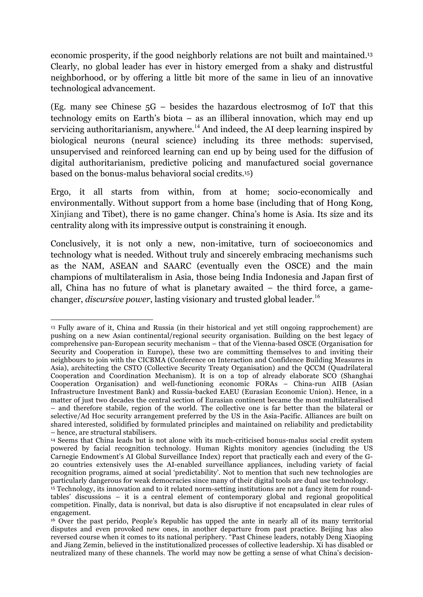economic prosperity, if the good neighborly relations are not built and maintained.13 Clearly, no global leader has ever in history emerged from a shaky and distrustful neighborhood, or by offering a little bit more of the same in lieu of an innovative technological advancement.

(Eg. many see Chinese 5G – besides the hazardous electrosmog of IoT that this technology emits on Earth's biota – as an illiberal innovation, which may end up servicing authoritarianism, anywhere.<sup>14</sup> And indeed, the AI deep learning inspired by biological neurons (neural science) including its three methods: supervised, unsupervised and reinforced learning can end up by being used for the diffusion of digital authoritarianism, predictive policing and manufactured social governance based on the bonus-malus behavioral social credits.15)

Ergo, it all starts from within, from at home; socio-economically and environmentally. Without support from a home base (including that of Hong Kong, Xinjiang and Tibet), there is no game changer. China's home is Asia. Its size and its centrality along with its impressive output is constraining it enough.

Conclusively, it is not only a new, non-imitative, turn of socioeconomics and technology what is needed. Without truly and sincerely embracing mechanisms such as the NAM, ASEAN and SAARC (eventually even the OSCE) and the main champions of multilateralism in Asia, those being India Indonesia and Japan first of all, China has no future of what is planetary awaited – the third force, a gamechanger, *discursive power*, lasting visionary and trusted global leader. 16

<sup>&</sup>lt;u> 1989 - Johann Stein, marwolaethau a bh</u> <sup>13</sup> Fully aware of it, China and Russia (in their historical and yet still ongoing rapprochement) are pushing on a new Asian continental/regional security organisation. Building on the best legacy of comprehensive pan-European security mechanism – that of the Vienna-based OSCE (Organisation for Security and Cooperation in Europe), these two are committing themselves to and inviting their neighbours to join with the CICBMA (Conference on Interaction and Confidence Building Measures in Asia), architecting the CSTO (Collective Security Treaty Organisation) and the QCCM (Quadrilateral Cooperation and Coordination Mechanism). It is on a top of already elaborate SCO (Shanghai Cooperation Organisation) and well-functioning economic FORAs – China-run AIIB (Asian Infrastructure Investment Bank) and Russia-backed EAEU (Eurasian Economic Union). Hence, in a matter of just two decades the central section of Eurasian continent became the most multilateralised – and therefore stabile, region of the world. The collective one is far better than the bilateral or selective/Ad Hoc security arrangement preferred by the US in the Asia-Pacific. Alliances are built on shared interested, solidified by formulated principles and maintained on reliability and predictability – hence, are structural stabilisers.

<sup>14</sup> Seems that China leads but is not alone with its much-criticised bonus-malus social credit system powered by facial recognition technology. Human Rights monitory agencies (including the US Carnegie Endowment's AI Global Surveillance Index) report that practically each and every of the G-20 countries extensively uses the AI-enabled surveillance appliances, including variety of facial recognition programs, aimed at social 'predictability'. Not to mention that such new technologies are particularly dangerous for weak democracies since many of their digital tools are dual use technology.

<sup>15</sup> Technology, its innovation and to it related norm-setting institutions are not a fancy item for roundtables' discussions – it is a central element of contemporary global and regional geopolitical competition. Finally, data is nonrival, but data is also disruptive if not encapsulated in clear rules of engagement. 16 Over the past perido, People's Republic has upped the ante in nearly all of its many territorial

disputes and even provoked new ones, in another departure from past practice. Beijing has also reversed course when it comes to its national periphery. "Past Chinese leaders, notably Deng Xiaoping and Jiang Zemin, believed in the institutionalized processes of collective leadership. Xi has disabled or neutralized many of these channels. The world may now be getting a sense of what China's decision-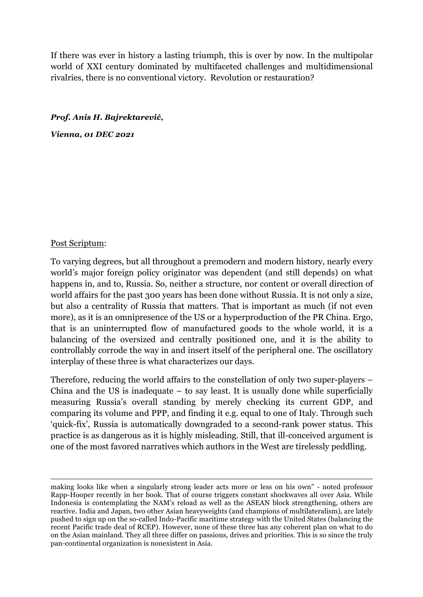If there was ever in history a lasting triumph, this is over by now. In the multipolar world of XXI century dominated by multifaceted challenges and multidimensional rivalries, there is no conventional victory. Revolution or restauration?

#### *Prof. Anis H. Bajrektarević,*

*Vienna, 01 DEC 2021*

#### Post Scriptum:

To varying degrees, but all throughout a premodern and modern history, nearly every world's major foreign policy originator was dependent (and still depends) on what happens in, and to, Russia. So, neither a structure, nor content or overall direction of world affairs for the past 300 years has been done without Russia. It is not only a size, but also a centrality of Russia that matters. That is important as much (if not even more), as it is an omnipresence of the US or a hyperproduction of the PR China. Ergo, that is an uninterrupted flow of manufactured goods to the whole world, it is a balancing of the oversized and centrally positioned one, and it is the ability to controllably corrode the way in and insert itself of the peripheral one. The oscillatory interplay of these three is what characterizes our days.

Therefore, reducing the world affairs to the constellation of only two super-players – China and the US is inadequate  $-$  to say least. It is usually done while superficially measuring Russia's overall standing by merely checking its current GDP, and comparing its volume and PPP, and finding it e.g. equal to one of Italy. Through such 'quick-fix', Russia is automatically downgraded to a second-rank power status. This practice is as dangerous as it is highly misleading. Still, that ill-conceived argument is one of the most favored narratives which authors in the West are tirelessly peddling.

<u> 1989 - Andrea Santa Andrea Andrea Andrea Andrea Andrea Andrea Andrea Andrea Andrea Andrea Andrea Andrea Andr</u>

making looks like when a singularly strong leader acts more or less on his own" - noted professor Rapp-Hooper recently in her book. That of course triggers constant shockwaves all over Asia. While Indonesia is contemplating the NAM's reload as well as the ASEAN block strengthening, others are reactive. India and Japan, two other Asian heavyweights (and champions of multilateralism), are lately pushed to sign up on the so-called Indo-Pacific maritime strategy with the United States (balancing the recent Pacific trade deal of RCEP). However, none of these three has any coherent plan on what to do on the Asian mainland. They all three differ on passions, drives and priorities. This is so since the truly pan-continental organization is nonexistent in Asia.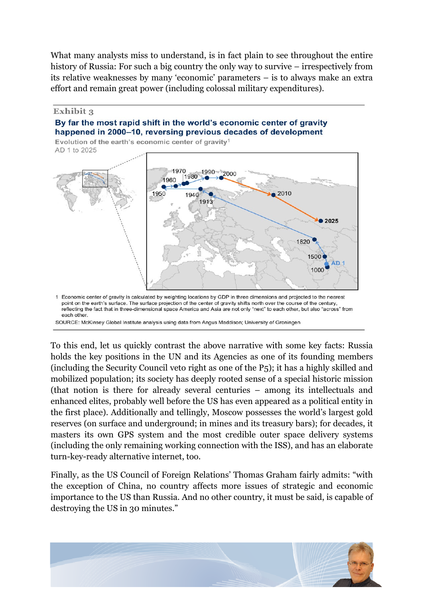What many analysts miss to understand, is in fact plain to see throughout the entire history of Russia: For such a big country the only way to survive – irrespectively from its relative weaknesses by many 'economic' parameters – is to always make an extra effort and remain great power (including colossal military expenditures).

#### Exhibit 3 By far the most rapid shift in the world's economic center of gravity happened in 2000–10, reversing previous decades of development

Evolution of the earth's economic center of gravity<sup>1</sup> AD 1 to 2025



point on the earth's surface. The surface projection of the center of gravity shifts north over the course of the century, reflecting the fact that in three-dimensional space America and Asia are not only "next" to each other, but also "across" from each other.

SOURCE: McKinsey Global Institute analysis using data from Angus Maddison; University of Groningen

To this end, let us quickly contrast the above narrative with some key facts: Russia holds the key positions in the UN and its Agencies as one of its founding members (including the Security Council veto right as one of the P5); it has a highly skilled and mobilized population; its society has deeply rooted sense of a special historic mission (that notion is there for already several centuries – among its intellectuals and enhanced elites, probably well before the US has even appeared as a political entity in the first place). Additionally and tellingly, Moscow possesses the world's largest gold reserves (on surface and underground; in mines and its treasury bars); for decades, it masters its own GPS system and the most credible outer space delivery systems (including the only remaining working connection with the ISS), and has an elaborate turn-key-ready alternative internet, too.

Finally, as the US Council of Foreign Relations' Thomas Graham fairly admits: "with the exception of China, no country affects more issues of strategic and economic importance to the US than Russia. And no other country, it must be said, is capable of destroying the US in 30 minutes."

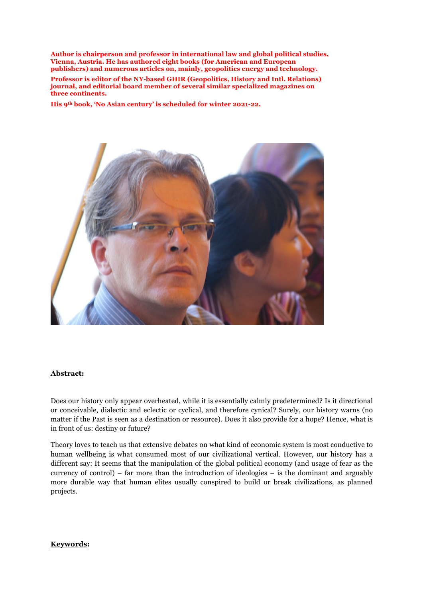**Author is chairperson and professor in international law and global political studies, Vienna, Austria. He has authored eight books (for American and European publishers) and numerous articles on, mainly, geopolitics energy and technology.** 

**Professor is editor of the NY-based GHIR (Geopolitics, History and Intl. Relations) journal, and editorial board member of several similar specialized magazines on three continents.**

**His 9th book, 'No Asian century' is scheduled for winter 2021-22.**



#### **Abstract:**

Does our history only appear overheated, while it is essentially calmly predetermined? Is it directional or conceivable, dialectic and eclectic or cyclical, and therefore cynical? Surely, our history warns (no matter if the Past is seen as a destination or resource). Does it also provide for a hope? Hence, what is in front of us: destiny or future?

Theory loves to teach us that extensive debates on what kind of economic system is most conductive to human wellbeing is what consumed most of our civilizational vertical. However, our history has a different say: It seems that the manipulation of the global political economy (and usage of fear as the currency of control) – far more than the introduction of ideologies – is the dominant and arguably more durable way that human elites usually conspired to build or break civilizations, as planned projects.

#### **Keywords:**